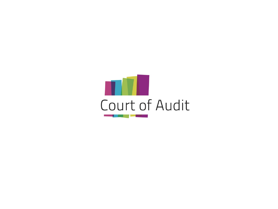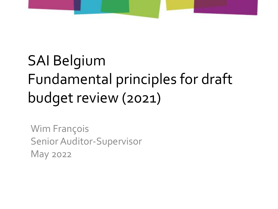

## SAI Belgium Fundamental principles for draft budget review (2021)

Wim François Senior Auditor-Supervisor May 2022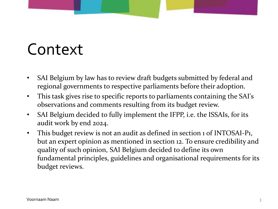### Context

- SAI Belgium by law has to review draft budgets submitted by federal and regional governments to respective parliaments before their adoption.
- This task gives rise to specific reports to parliaments containing the SAI's observations and comments resulting from its budget review.
- SAI Belgium decided to fully implement the IFPP, i.e. the ISSAIs, for its audit work by end 2024.
- This budget review is not an audit as defined in section 1 of INTOSAI-P1, but an expert opinion as mentioned in section 12. To ensure credibility and quality of such opinion, SAI Belgium decided to define its own fundamental principles, guidelines and organisational requirements for its budget reviews.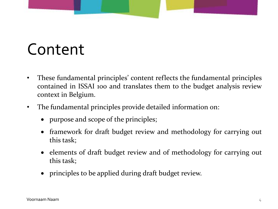# Content

- These fundamental principles' content reflects the fundamental principles contained in ISSAI 100 and translates them to the budget analysis review context in Belgium.
- The fundamental principles provide detailed information on:
	- purpose and scope of the principles;
	- framework for draft budget review and methodology for carrying out this task;
	- elements of draft budget review and of methodology for carrying out this task;
	- principles to be applied during draft budget review.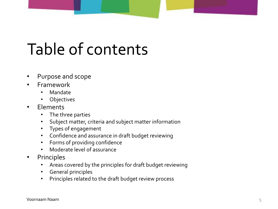# Table of contents

- Purpose and scope
- Framework
	- Mandate
	- **Objectives**
- Elements
	- The three parties
	- Subject matter, criteria and subject matter information
	- Types of engagement
	- Confidence and assurance in draft budget reviewing
	- Forms of providing confidence
	- Moderate level of assurance
- Principles
	- Areas covered by the principles for draft budget reviewing
	- General principles
	- Principles related to the draft budget review process